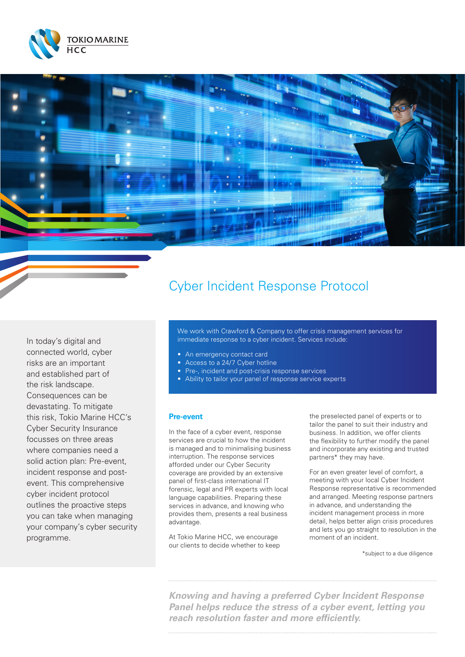



# Cyber Incident Response Protocol

In today's digital and connected world, cyber risks are an important and established part of the risk landscape. Consequences can be devastating. To mitigate this risk, Tokio Marine HCC's Cyber Security Insurance focusses on three areas where companies need a solid action plan: Pre-event, incident response and postevent. This comprehensive cyber incident protocol outlines the proactive steps you can take when managing your company's cyber security programme.

We work with Crawford & Company to offer crisis management services for immediate response to a cyber incident. Services include:

- An emergency contact card
- Access to a 24/7 Cyber hotline
- Pre-, incident and post-crisis response services
- Ability to tailor your panel of response service experts

#### **Pre-event**

In the face of a cyber event, response services are crucial to how the incident is managed and to minimalising business interruption. The response services afforded under our Cyber Security coverage are provided by an extensive panel of first-class international IT forensic, legal and PR experts with local language capabilities. Preparing these services in advance, and knowing who provides them, presents a real business advantage.

At Tokio Marine HCC, we encourage our clients to decide whether to keep

the preselected panel of experts or to tailor the panel to suit their industry and business. In addition, we offer clients the flexibility to further modify the panel and incorporate any existing and trusted partners\* they may have.

For an even greater level of comfort, a meeting with your local Cyber Incident Response representative is recommended and arranged. Meeting response partners in advance, and understanding the incident management process in more detail, helps better align crisis procedures and lets you go straight to resolution in the moment of an incident.

\*subject to a due diligence

*Knowing and having a preferred Cyber Incident Response Panel helps reduce the stress of a cyber event, letting you reach resolution faster and more efficiently.*